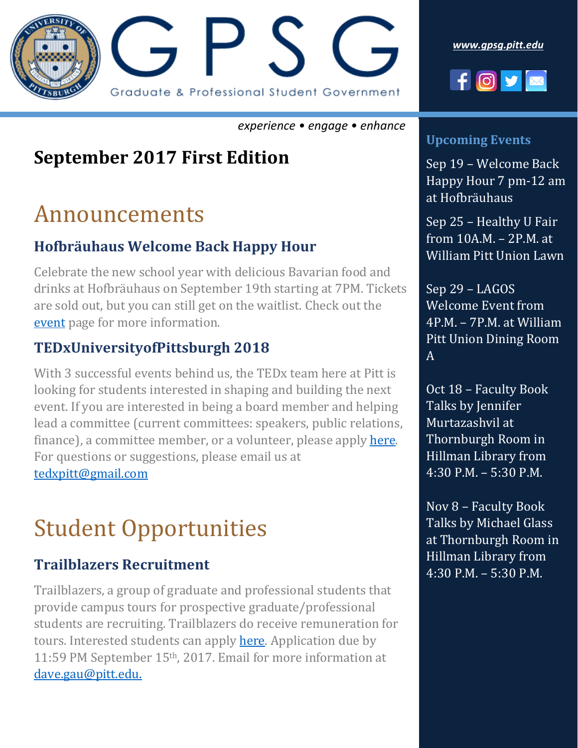

*experience • engage • enhance*

## **September 2017 First Edition**

# Announcements

#### **Hofbräuhaus Welcome Back Happy Hour**

Celebrate the new school year with delicious Bavarian food and drinks at Hofbräuhaus on September 19th starting at 7PM. Tickets are sold out, but you can still get on the waitlist. Check out the [event](https://gpsgwelcome.eventbrite.com/) page for more information.

### **TEDxUniversityofPittsburgh 2018**

With 3 successful events behind us, the TEDx team here at Pitt is looking for students interested in shaping and building the next event. If you are interested in being a board member and helping lead a committee (current committees: speakers, public relations, finance), a committee member, or a volunteer, please apply [here.](http://bit.ly/2f10FzA) For questions or suggestions, please email us at [tedxpitt@gmail.com](mailto:tedxpitt@gmail.com)

# Student Opportunities

### **Trailblazers Recruitment**

Trailblazers, a group of graduate and professional students that provide campus tours for prospective graduate/professional students are recruiting. Trailblazers do receive remuneration for tours. Interested students can apply [here.](http://www.trailblazers.pitt.edu/apply) Application due by 11:59 PM September 15th, 2017. Email for more information at [dave.gau@pitt.edu.](mailto:dave.gau@pitt.edu)





#### **Upcoming Events**

Sep 19 – Welcome Back Happy Hour 7 pm-12 am at Hofbräuhaus

Sep 25 – Healthy U Fair from 10A.M. – 2P.M. at William Pitt Union Lawn

Sep 29 – LAGOS Welcome Event from 4P.M. – 7P.M. at William Pitt Union Dining Room A

Oct 18 – Faculty Book Talks by Jennifer Murtazashvil at Thornburgh Room in Hillman Library from 4:30 P.M. – 5:30 P.M.

Nov 8 – Faculty Book Talks by Michael Glass at Thornburgh Room in Hillman Library from 4:30 P.M. – 5:30 P.M.